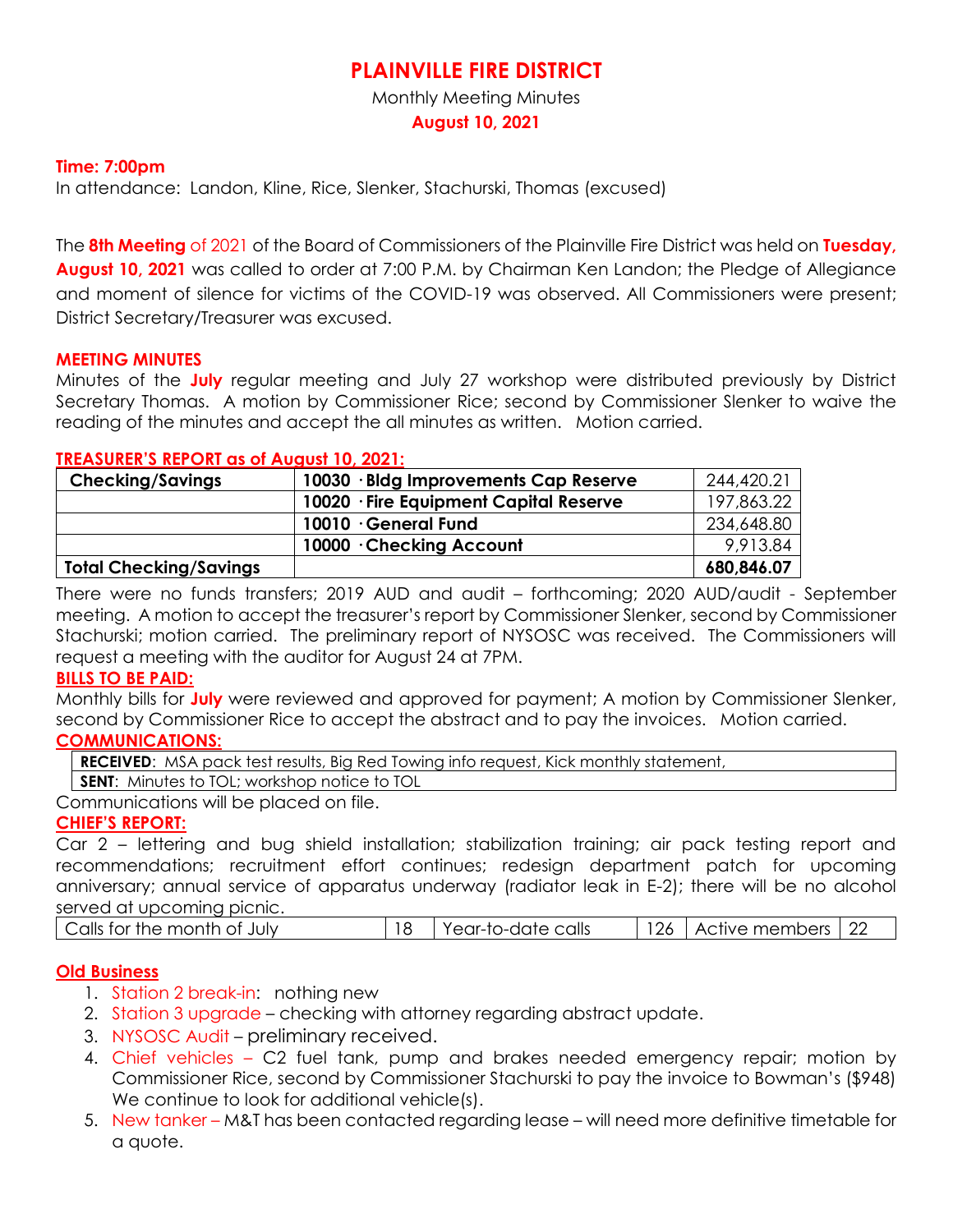# **PLAINVILLE FIRE DISTRICT**

Monthly Meeting Minutes

**August 10, 2021**

## **Time: 7:00pm**

In attendance: Landon, Kline, Rice, Slenker, Stachurski, Thomas (excused)

The **8th Meeting** of 2021 of the Board of Commissioners of the Plainville Fire District was held on **Tuesday, August 10, 2021** was called to order at 7:00 P.M. by Chairman Ken Landon; the Pledge of Allegiance and moment of silence for victims of the COVID-19 was observed. All Commissioners were present; District Secretary/Treasurer was excused.

#### **MEETING MINUTES**

Minutes of the **July** regular meeting and July 27 workshop were distributed previously by District Secretary Thomas. A motion by Commissioner Rice; second by Commissioner Slenker to waive the reading of the minutes and accept the all minutes as written. Motion carried.

#### **TREASURER'S REPORT as of August 10, 2021:**

| <b>Checking/Savings</b>       | 10030 · Bldg Improvements Cap Reserve  | 244,420.21 |
|-------------------------------|----------------------------------------|------------|
|                               | 10020 · Fire Equipment Capital Reserve | 197,863.22 |
|                               | 10010 · General Fund                   | 234,648.80 |
|                               | 10000 Checking Account                 | 9,913.84   |
| <b>Total Checking/Savings</b> |                                        | 680,846.07 |

There were no funds transfers; 2019 AUD and audit – forthcoming; 2020 AUD/audit - September meeting. A motion to accept the treasurer's report by Commissioner Slenker, second by Commissioner Stachurski; motion carried. The preliminary report of NYSOSC was received. The Commissioners will request a meeting with the auditor for August 24 at 7PM.

## **BILLS TO BE PAID:**

Monthly bills for **July** were reviewed and approved for payment; A motion by Commissioner Slenker, second by Commissioner Rice to accept the abstract and to pay the invoices. Motion carried.

## **COMMUNICATIONS:**

**RECEIVED:** MSA pack test results, Big Red Towing info request, Kick monthly statement,

**SENT:** Minutes to TOL; workshop notice to TOL

Communications will be placed on file.

## **CHIEF'S REPORT:**

Car 2 – lettering and bug shield installation; stabilization training; air pack testing report and recommendations; recruitment effort continues; redesign department patch for upcoming anniversary; annual service of apparatus underway (radiator leak in E-2); there will be no alcohol served at upcoming picnic.

| Calls for the month of July | Year-to-date calls | 126 | Active members 122 | $\cap$ |
|-----------------------------|--------------------|-----|--------------------|--------|
|                             |                    |     |                    |        |

## **Old Business**

- 1. Station 2 break-in: nothing new
- 2. Station 3 upgrade checking with attorney regarding abstract update.
- 3. NYSOSC Audit preliminary received.
- 4. Chief vehicles C2 fuel tank, pump and brakes needed emergency repair; motion by Commissioner Rice, second by Commissioner Stachurski to pay the invoice to Bowman's (\$948) We continue to look for additional vehicle(s).
- 5. New tanker M&T has been contacted regarding lease will need more definitive timetable for a quote.